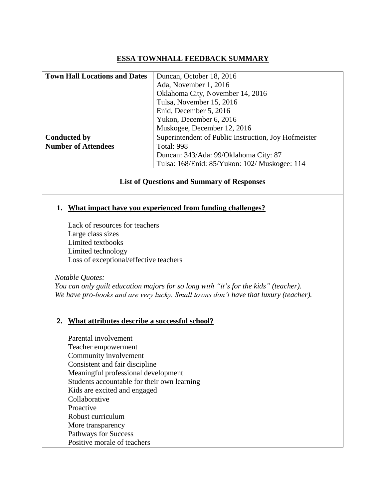# **ESSA TOWNHALL FEEDBACK SUMMARY**

| <b>Town Hall Locations and Dates</b> | Duncan, October 18, 2016                             |
|--------------------------------------|------------------------------------------------------|
|                                      | Ada, November 1, 2016                                |
|                                      | Oklahoma City, November 14, 2016                     |
|                                      | Tulsa, November 15, 2016                             |
|                                      | Enid, December 5, 2016                               |
|                                      | Yukon, December 6, 2016                              |
|                                      | Muskogee, December 12, 2016                          |
| <b>Conducted by</b>                  | Superintendent of Public Instruction, Joy Hofmeister |
| <b>Number of Attendees</b>           | <b>Total: 998</b>                                    |
|                                      | Duncan: 343/Ada: 99/Oklahoma City: 87                |
|                                      | Tulsa: 168/Enid: 85/Yukon: 102/ Muskogee: 114        |

## **List of Questions and Summary of Responses**

## **1. What impact have you experienced from funding challenges?**

Lack of resources for teachers Large class sizes Limited textbooks Limited technology Loss of exceptional/effective teachers

 *Notable Quotes:*

 *You can only guilt education majors for so long with "it's for the kids" (teacher). We have pro-books and are very lucky. Small towns don't have that luxury (teacher).*

## **2. What attributes describe a successful school?**

Parental involvement Teacher empowerment Community involvement Consistent and fair discipline Meaningful professional development Students accountable for their own learning Kids are excited and engaged Collaborative Proactive Robust curriculum More transparency Pathways for Success Positive morale of teachers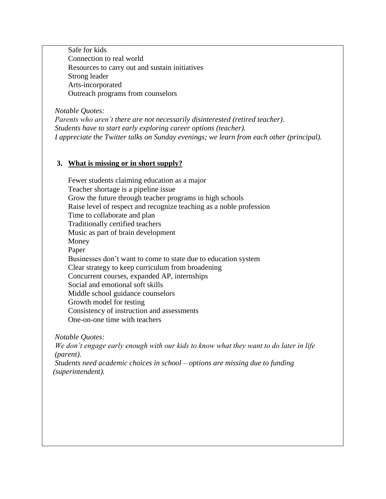Safe for kids Connection to real world Resources to carry out and sustain initiatives Strong leader Arts-incorporated Outreach programs from counselors

*Notable Quotes: Parents who aren't there are not necessarily disinterested (retired teacher). Students have to start early exploring career options (teacher). I appreciate the Twitter talks on Sunday evenings; we learn from each other (principal).*

## **3. What is missing or in short supply?**

Fewer students claiming education as a major Teacher shortage is a pipeline issue Grow the future through teacher programs in high schools Raise level of respect and recognize teaching as a noble profession Time to collaborate and plan Traditionally certified teachers Music as part of brain development Money Paper Businesses don't want to come to state due to education system Clear strategy to keep curriculum from broadening Concurrent courses, expanded AP, internships Social and emotional soft skills Middle school guidance counselors Growth model for testing Consistency of instruction and assessments One-on-one time with teachers

 *Notable Quotes:*

 *We don't engage early enough with our kids to know what they want to do later in life (parent).*

 *Students need academic choices in school – options are missing due to funding (superintendent).*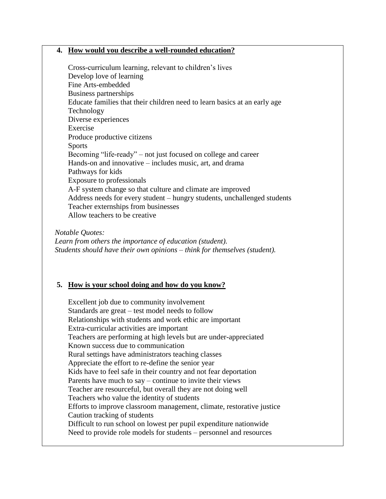#### **4. How would you describe a well-rounded education?**

Cross-curriculum learning, relevant to children's lives Develop love of learning Fine Arts-embedded Business partnerships Educate families that their children need to learn basics at an early age Technology Diverse experiences Exercise Produce productive citizens Sports Becoming "life-ready" – not just focused on college and career Hands-on and innovative – includes music, art, and drama Pathways for kids Exposure to professionals A-F system change so that culture and climate are improved Address needs for every student – hungry students, unchallenged students Teacher externships from businesses Allow teachers to be creative

*Notable Quotes:*

 *Learn from others the importance of education (student). Students should have their own opinions – think for themselves (student).*

## **5. How is your school doing and how do you know?**

Excellent job due to community involvement Standards are great – test model needs to follow Relationships with students and work ethic are important Extra-curricular activities are important Teachers are performing at high levels but are under-appreciated Known success due to communication Rural settings have administrators teaching classes Appreciate the effort to re-define the senior year Kids have to feel safe in their country and not fear deportation Parents have much to say – continue to invite their views Teacher are resourceful, but overall they are not doing well Teachers who value the identity of students Efforts to improve classroom management, climate, restorative justice Caution tracking of students Difficult to run school on lowest per pupil expenditure nationwide Need to provide role models for students – personnel and resources